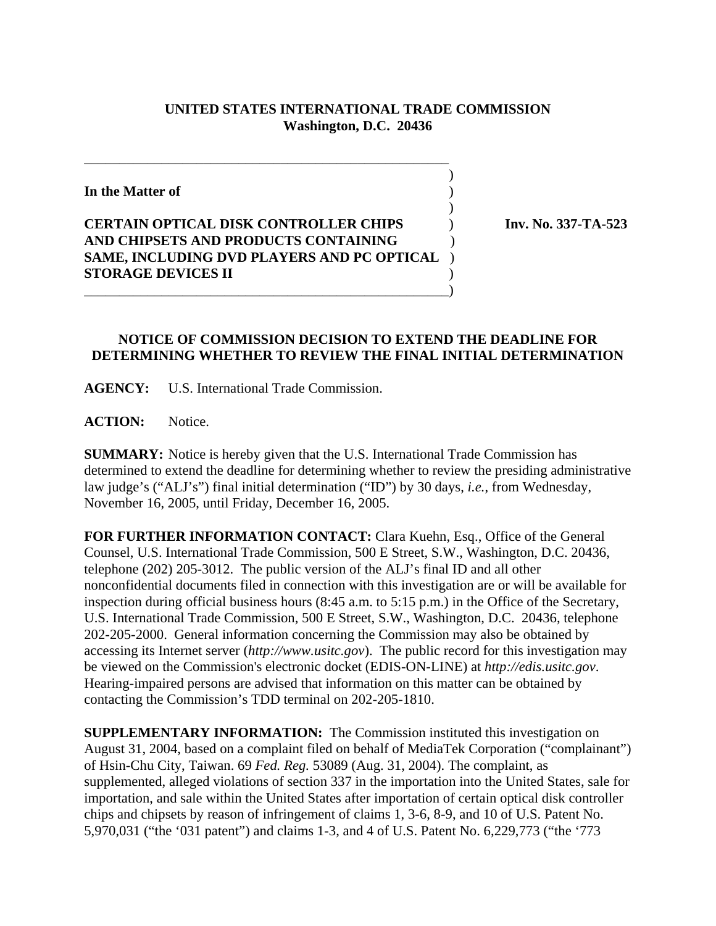## **UNITED STATES INTERNATIONAL TRADE COMMISSION Washington, D.C. 20436**

 $\overline{\phantom{a}}$ 

 $\overline{\phantom{a}}$ 

**In the Matter of** )

## **CERTAIN OPTICAL DISK CONTROLLER CHIPS** ) **Inv. No. 337-TA-523 AND CHIPSETS AND PRODUCTS CONTAINING** ) **SAME, INCLUDING DVD PLAYERS AND PC OPTICAL** ) **STORAGE DEVICES II** ) \_\_\_\_\_\_\_\_\_\_\_\_\_\_\_\_\_\_\_\_\_\_\_\_\_\_\_\_\_\_\_\_\_\_\_\_\_\_\_\_\_\_\_\_\_\_\_\_\_\_\_\_)

\_\_\_\_\_\_\_\_\_\_\_\_\_\_\_\_\_\_\_\_\_\_\_\_\_\_\_\_\_\_\_\_\_\_\_\_\_\_\_\_\_\_\_\_\_\_\_\_\_\_\_\_

## **NOTICE OF COMMISSION DECISION TO EXTEND THE DEADLINE FOR DETERMINING WHETHER TO REVIEW THE FINAL INITIAL DETERMINATION**

**AGENCY:** U.S. International Trade Commission.

**ACTION:** Notice.

**SUMMARY:** Notice is hereby given that the U.S. International Trade Commission has determined to extend the deadline for determining whether to review the presiding administrative law judge's ("ALJ's") final initial determination ("ID") by 30 days, *i.e.*, from Wednesday, November 16, 2005, until Friday, December 16, 2005.

**FOR FURTHER INFORMATION CONTACT:** Clara Kuehn, Esq., Office of the General Counsel, U.S. International Trade Commission, 500 E Street, S.W., Washington, D.C. 20436, telephone (202) 205-3012. The public version of the ALJ's final ID and all other nonconfidential documents filed in connection with this investigation are or will be available for inspection during official business hours (8:45 a.m. to 5:15 p.m.) in the Office of the Secretary, U.S. International Trade Commission, 500 E Street, S.W., Washington, D.C. 20436, telephone 202-205-2000. General information concerning the Commission may also be obtained by accessing its Internet server (*http://www.usitc.gov*). The public record for this investigation may be viewed on the Commission's electronic docket (EDIS-ON-LINE) at *http://edis.usitc.gov*. Hearing-impaired persons are advised that information on this matter can be obtained by contacting the Commission's TDD terminal on 202-205-1810.

**SUPPLEMENTARY INFORMATION:** The Commission instituted this investigation on August 31, 2004, based on a complaint filed on behalf of MediaTek Corporation ("complainant") of Hsin-Chu City, Taiwan. 69 *Fed. Reg.* 53089 (Aug. 31, 2004). The complaint, as supplemented, alleged violations of section 337 in the importation into the United States, sale for importation, and sale within the United States after importation of certain optical disk controller chips and chipsets by reason of infringement of claims 1, 3-6, 8-9, and 10 of U.S. Patent No. 5,970,031 ("the '031 patent") and claims 1-3, and 4 of U.S. Patent No. 6,229,773 ("the '773